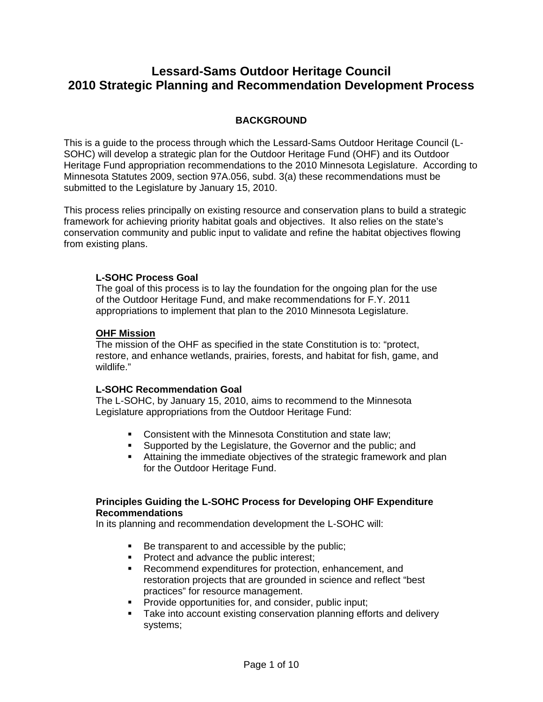# **Lessard-Sams Outdoor Heritage Council 2010 Strategic Planning and Recommendation Development Process**

# **BACKGROUND**

This is a guide to the process through which the Lessard-Sams Outdoor Heritage Council (L-SOHC) will develop a strategic plan for the Outdoor Heritage Fund (OHF) and its Outdoor Heritage Fund appropriation recommendations to the 2010 Minnesota Legislature. According to Minnesota Statutes 2009, section 97A.056, subd. 3(a) these recommendations must be submitted to the Legislature by January 15, 2010.

This process relies principally on existing resource and conservation plans to build a strategic framework for achieving priority habitat goals and objectives. It also relies on the state's conservation community and public input to validate and refine the habitat objectives flowing from existing plans.

#### **L-SOHC Process Goal**

The goal of this process is to lay the foundation for the ongoing plan for the use of the Outdoor Heritage Fund, and make recommendations for F.Y. 2011 appropriations to implement that plan to the 2010 Minnesota Legislature.

#### **OHF Mission**

The mission of the OHF as specified in the state Constitution is to: "protect, restore, and enhance wetlands, prairies, forests, and habitat for fish, game, and wildlife."

#### **L-SOHC Recommendation Goal**

The L-SOHC, by January 15, 2010, aims to recommend to the Minnesota Legislature appropriations from the Outdoor Heritage Fund:

- Consistent with the Minnesota Constitution and state law;
- **Supported by the Legislature, the Governor and the public; and**
- Attaining the immediate objectives of the strategic framework and plan for the Outdoor Heritage Fund.

#### **Principles Guiding the L-SOHC Process for Developing OHF Expenditure Recommendations**

In its planning and recommendation development the L-SOHC will:

- Be transparent to and accessible by the public;
- **Protect and advance the public interest;**
- **Recommend expenditures for protection, enhancement, and** restoration projects that are grounded in science and reflect "best practices" for resource management.
- **Provide opportunities for, and consider, public input;**
- **Take into account existing conservation planning efforts and delivery** systems;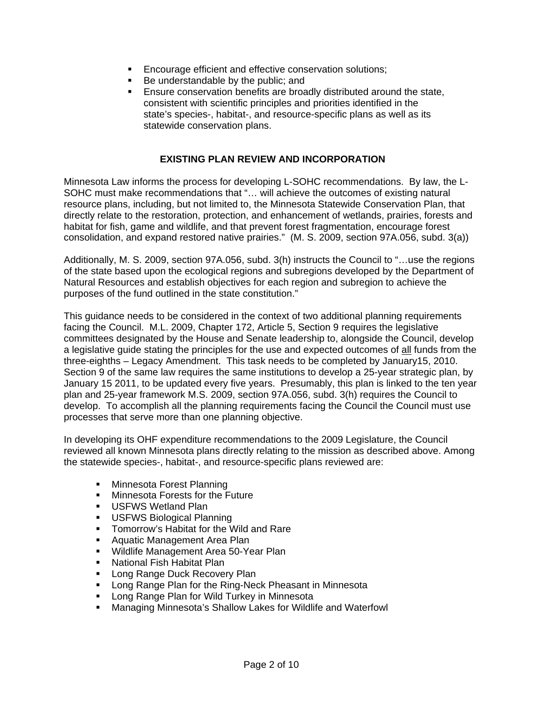- **Encourage efficient and effective conservation solutions;**
- Be understandable by the public; and
- Ensure conservation benefits are broadly distributed around the state, consistent with scientific principles and priorities identified in the state's species-, habitat-, and resource-specific plans as well as its statewide conservation plans.

### **EXISTING PLAN REVIEW AND INCORPORATION**

Minnesota Law informs the process for developing L-SOHC recommendations. By law, the L-SOHC must make recommendations that "… will achieve the outcomes of existing natural resource plans, including, but not limited to, the Minnesota Statewide Conservation Plan, that directly relate to the restoration, protection, and enhancement of wetlands, prairies, forests and habitat for fish, game and wildlife, and that prevent forest fragmentation, encourage forest consolidation, and expand restored native prairies." (M. S. 2009, section 97A.056, subd. 3(a))

Additionally, M. S. 2009, section 97A.056, subd. 3(h) instructs the Council to "…use the regions of the state based upon the ecological regions and subregions developed by the Department of Natural Resources and establish objectives for each region and subregion to achieve the purposes of the fund outlined in the state constitution."

This guidance needs to be considered in the context of two additional planning requirements facing the Council. M.L. 2009, Chapter 172, Article 5, Section 9 requires the legislative committees designated by the House and Senate leadership to, alongside the Council, develop a legislative guide stating the principles for the use and expected outcomes of all funds from the three-eighths – Legacy Amendment. This task needs to be completed by January15, 2010. Section 9 of the same law requires the same institutions to develop a 25-year strategic plan, by January 15 2011, to be updated every five years. Presumably, this plan is linked to the ten year plan and 25-year framework M.S. 2009, section 97A.056, subd. 3(h) requires the Council to develop. To accomplish all the planning requirements facing the Council the Council must use processes that serve more than one planning objective.

In developing its OHF expenditure recommendations to the 2009 Legislature, the Council reviewed all known Minnesota plans directly relating to the mission as described above. Among the statewide species-, habitat-, and resource-specific plans reviewed are:

- Minnesota Forest Planning
- **Minnesota Forests for the Future**
- **USFWS Wetland Plan**
- **USFWS Biological Planning**
- **Tomorrow's Habitat for the Wild and Rare**
- **Aquatic Management Area Plan**
- **Wildlife Management Area 50-Year Plan**
- **National Fish Habitat Plan**
- **Long Range Duck Recovery Plan**
- **-** Long Range Plan for the Ring-Neck Pheasant in Minnesota
- **EXEDENGE Range Plan for Wild Turkey in Minnesota**
- Managing Minnesota's Shallow Lakes for Wildlife and Waterfowl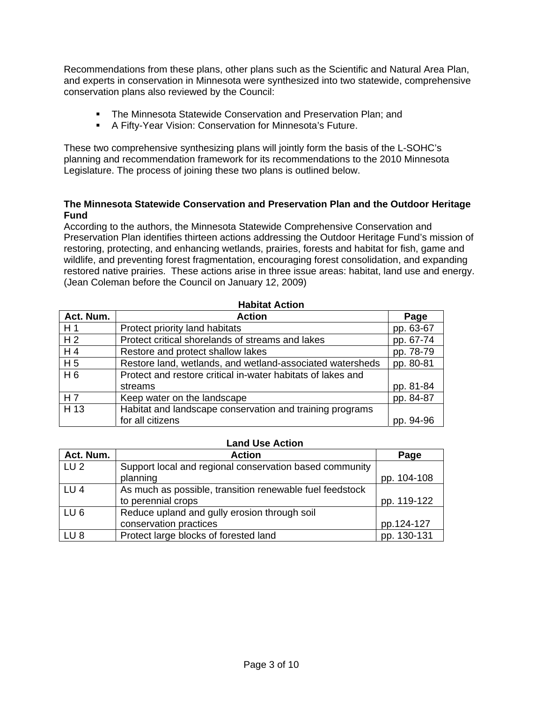Recommendations from these plans, other plans such as the Scientific and Natural Area Plan, and experts in conservation in Minnesota were synthesized into two statewide, comprehensive conservation plans also reviewed by the Council:

- **The Minnesota Statewide Conservation and Preservation Plan; and**
- A Fifty-Year Vision: Conservation for Minnesota's Future.

These two comprehensive synthesizing plans will jointly form the basis of the L-SOHC's planning and recommendation framework for its recommendations to the 2010 Minnesota Legislature. The process of joining these two plans is outlined below.

#### **The Minnesota Statewide Conservation and Preservation Plan and the Outdoor Heritage Fund**

According to the authors, the Minnesota Statewide Comprehensive Conservation and Preservation Plan identifies thirteen actions addressing the Outdoor Heritage Fund's mission of restoring, protecting, and enhancing wetlands, prairies, forests and habitat for fish, game and wildlife, and preventing forest fragmentation, encouraging forest consolidation, and expanding restored native prairies. These actions arise in three issue areas: habitat, land use and energy. (Jean Coleman before the Council on January 12, 2009)

**Habitat Action** 

| <b>Habitat Action</b> |                                                             |           |  |
|-----------------------|-------------------------------------------------------------|-----------|--|
| Act. Num.             | <b>Action</b>                                               | Page      |  |
| H <sub>1</sub>        | Protect priority land habitats                              | pp. 63-67 |  |
| H <sub>2</sub>        | Protect critical shorelands of streams and lakes            | pp. 67-74 |  |
| H 4                   | Restore and protect shallow lakes                           | pp. 78-79 |  |
| H <sub>5</sub>        | Restore land, wetlands, and wetland-associated watersheds   | pp. 80-81 |  |
| H 6                   | Protect and restore critical in-water habitats of lakes and |           |  |
|                       | streams                                                     | pp. 81-84 |  |
| H 7                   | Keep water on the landscape                                 | pp. 84-87 |  |
| H 13                  | Habitat and landscape conservation and training programs    |           |  |
|                       | for all citizens                                            | pp. 94-96 |  |

#### **Land Use Action**

| Act. Num.       | <b>Action</b>                                            | Page        |
|-----------------|----------------------------------------------------------|-------------|
| LU 2            | Support local and regional conservation based community  |             |
|                 | planning                                                 | pp. 104-108 |
| LU <sub>4</sub> | As much as possible, transition renewable fuel feedstock |             |
|                 | to perennial crops                                       | pp. 119-122 |
| LU6             | Reduce upland and gully erosion through soil             |             |
|                 | conservation practices                                   | pp.124-127  |
| LU8             | Protect large blocks of forested land                    | pp. 130-131 |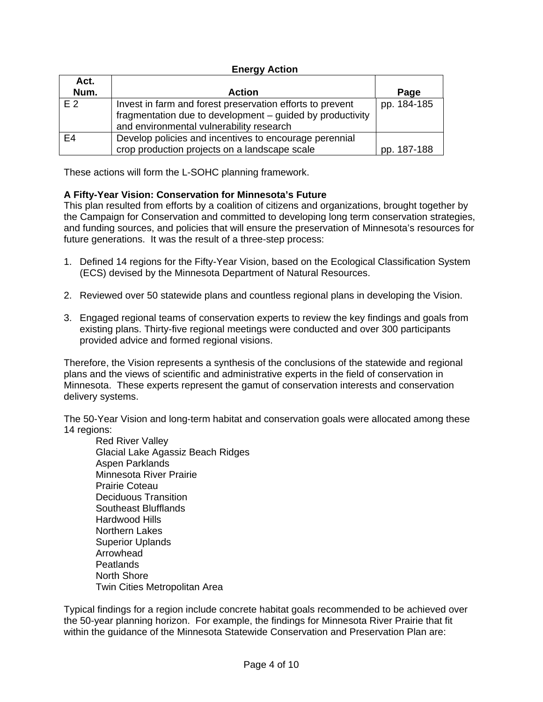### **Energy Action**

| Act.           |                                                                                                                                                                    |             |
|----------------|--------------------------------------------------------------------------------------------------------------------------------------------------------------------|-------------|
| Num.           | <b>Action</b>                                                                                                                                                      | Page        |
| E 2            | Invest in farm and forest preservation efforts to prevent<br>fragmentation due to development - guided by productivity<br>and environmental vulnerability research | pp. 184-185 |
| E <sub>4</sub> | Develop policies and incentives to encourage perennial<br>crop production projects on a landscape scale                                                            | pp. 187-188 |

These actions will form the L-SOHC planning framework.

### **A Fifty-Year Vision: Conservation for Minnesota's Future**

This plan resulted from efforts by a coalition of citizens and organizations, brought together by the Campaign for Conservation and committed to developing long term conservation strategies, and funding sources, and policies that will ensure the preservation of Minnesota's resources for future generations. It was the result of a three-step process:

- 1. Defined 14 regions for the Fifty-Year Vision, based on the Ecological Classification System (ECS) devised by the Minnesota Department of Natural Resources.
- 2. Reviewed over 50 statewide plans and countless regional plans in developing the Vision.
- 3. Engaged regional teams of conservation experts to review the key findings and goals from existing plans. Thirty-five regional meetings were conducted and over 300 participants provided advice and formed regional visions.

Therefore, the Vision represents a synthesis of the conclusions of the statewide and regional plans and the views of scientific and administrative experts in the field of conservation in Minnesota. These experts represent the gamut of conservation interests and conservation delivery systems.

The 50-Year Vision and long-term habitat and conservation goals were allocated among these 14 regions:

Red River Valley Glacial Lake Agassiz Beach Ridges Aspen Parklands Minnesota River Prairie Prairie Coteau Deciduous Transition Southeast Blufflands Hardwood Hills Northern Lakes Superior Uplands Arrowhead Peatlands North Shore Twin Cities Metropolitan Area

Typical findings for a region include concrete habitat goals recommended to be achieved over the 50-year planning horizon. For example, the findings for Minnesota River Prairie that fit within the guidance of the Minnesota Statewide Conservation and Preservation Plan are: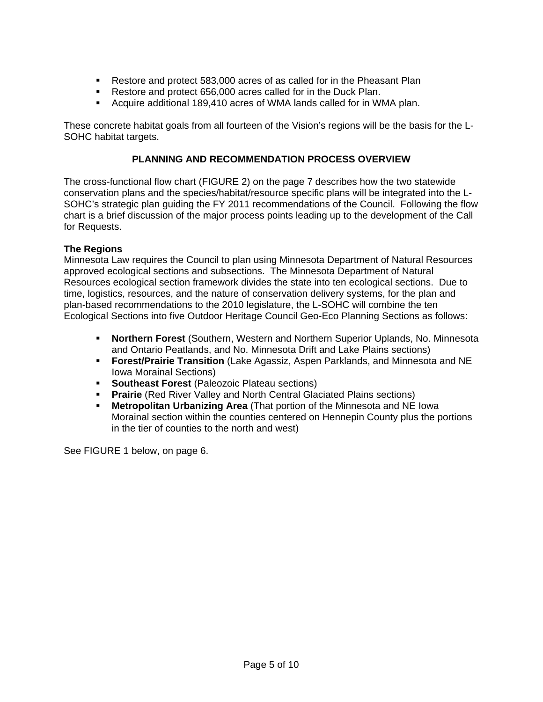- Restore and protect 583,000 acres of as called for in the Pheasant Plan
- Restore and protect 656,000 acres called for in the Duck Plan.
- Acquire additional 189,410 acres of WMA lands called for in WMA plan.

These concrete habitat goals from all fourteen of the Vision's regions will be the basis for the L-SOHC habitat targets.

### **PLANNING AND RECOMMENDATION PROCESS OVERVIEW**

The cross-functional flow chart (FIGURE 2) on the page 7 describes how the two statewide conservation plans and the species/habitat/resource specific plans will be integrated into the L-SOHC's strategic plan guiding the FY 2011 recommendations of the Council. Following the flow chart is a brief discussion of the major process points leading up to the development of the Call for Requests.

### **The Regions**

Minnesota Law requires the Council to plan using Minnesota Department of Natural Resources approved ecological sections and subsections. The Minnesota Department of Natural Resources ecological section framework divides the state into ten ecological sections. Due to time, logistics, resources, and the nature of conservation delivery systems, for the plan and plan-based recommendations to the 2010 legislature, the L-SOHC will combine the ten Ecological Sections into five Outdoor Heritage Council Geo-Eco Planning Sections as follows:

- **Northern Forest** (Southern, Western and Northern Superior Uplands, No. Minnesota and Ontario Peatlands, and No. Minnesota Drift and Lake Plains sections)
- **Forest/Prairie Transition** (Lake Agassiz, Aspen Parklands, and Minnesota and NE Iowa Morainal Sections)
- **Southeast Forest** (Paleozoic Plateau sections)
- **Prairie** (Red River Valley and North Central Glaciated Plains sections)
- **Metropolitan Urbanizing Area** (That portion of the Minnesota and NE Iowa Morainal section within the counties centered on Hennepin County plus the portions in the tier of counties to the north and west)

See FIGURE 1 below, on page 6.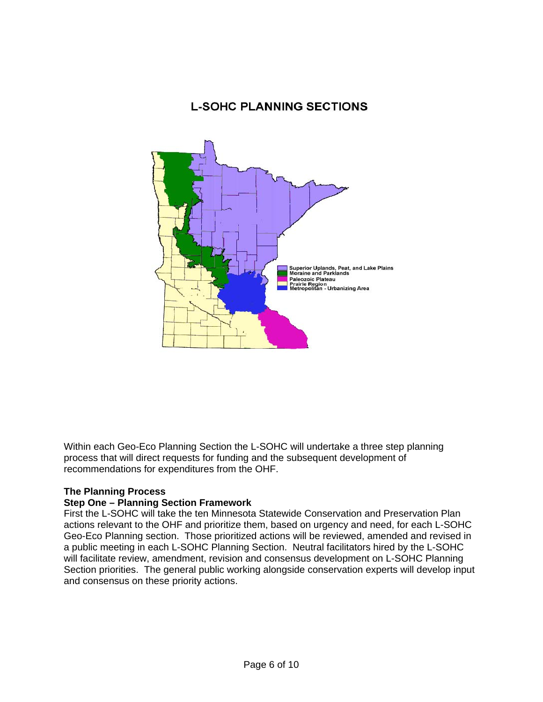# **L-SOHC PLANNING SECTIONS**



Within each Geo-Eco Planning Section the L-SOHC will undertake a three step planning process that will direct requests for funding and the subsequent development of recommendations for expenditures from the OHF.

### **The Planning Process**

### **Step One – Planning Section Framework**

First the L-SOHC will take the ten Minnesota Statewide Conservation and Preservation Plan actions relevant to the OHF and prioritize them, based on urgency and need, for each L-SOHC Geo-Eco Planning section. Those prioritized actions will be reviewed, amended and revised in a public meeting in each L-SOHC Planning Section. Neutral facilitators hired by the L-SOHC will facilitate review, amendment, revision and consensus development on L-SOHC Planning Section priorities. The general public working alongside conservation experts will develop input and consensus on these priority actions.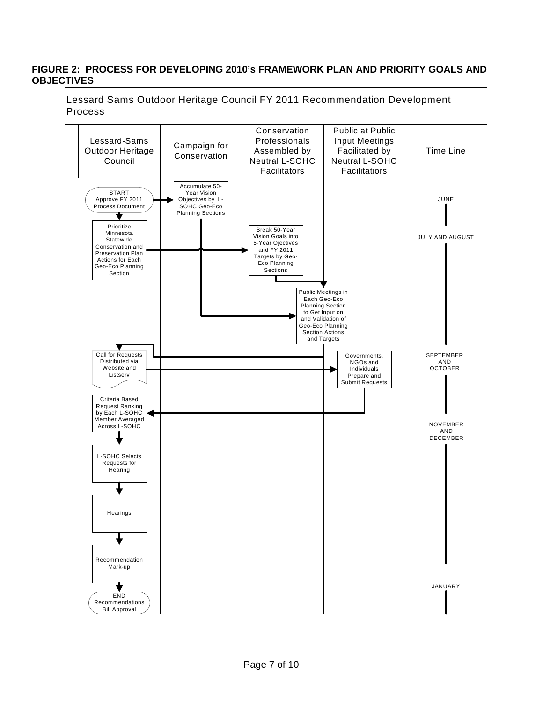#### **FIGURE 2: PROCESS FOR DEVELOPING 2010's FRAMEWORK PLAN AND PRIORITY GOALS AND OBJECTIVES**

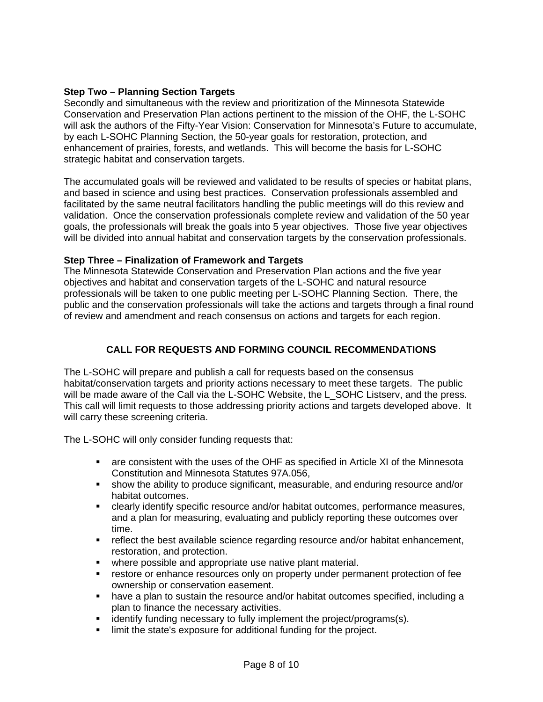### **Step Two – Planning Section Targets**

Secondly and simultaneous with the review and prioritization of the Minnesota Statewide Conservation and Preservation Plan actions pertinent to the mission of the OHF, the L-SOHC will ask the authors of the Fifty-Year Vision: Conservation for Minnesota's Future to accumulate, by each L-SOHC Planning Section, the 50-year goals for restoration, protection, and enhancement of prairies, forests, and wetlands. This will become the basis for L-SOHC strategic habitat and conservation targets.

The accumulated goals will be reviewed and validated to be results of species or habitat plans, and based in science and using best practices. Conservation professionals assembled and facilitated by the same neutral facilitators handling the public meetings will do this review and validation. Once the conservation professionals complete review and validation of the 50 year goals, the professionals will break the goals into 5 year objectives. Those five year objectives will be divided into annual habitat and conservation targets by the conservation professionals.

# **Step Three – Finalization of Framework and Targets**

The Minnesota Statewide Conservation and Preservation Plan actions and the five year objectives and habitat and conservation targets of the L-SOHC and natural resource professionals will be taken to one public meeting per L-SOHC Planning Section. There, the public and the conservation professionals will take the actions and targets through a final round of review and amendment and reach consensus on actions and targets for each region.

# **CALL FOR REQUESTS AND FORMING COUNCIL RECOMMENDATIONS**

The L-SOHC will prepare and publish a call for requests based on the consensus habitat/conservation targets and priority actions necessary to meet these targets. The public will be made aware of the Call via the L-SOHC Website, the L\_SOHC Listserv, and the press. This call will limit requests to those addressing priority actions and targets developed above. It will carry these screening criteria.

The L-SOHC will only consider funding requests that:

- are consistent with the uses of the OHF as specified in Article XI of the Minnesota Constitution and Minnesota Statutes 97A.056,
- show the ability to produce significant, measurable, and enduring resource and/or habitat outcomes.
- clearly identify specific resource and/or habitat outcomes, performance measures, and a plan for measuring, evaluating and publicly reporting these outcomes over time.
- **F** reflect the best available science regarding resource and/or habitat enhancement, restoration, and protection.
- **•** where possible and appropriate use native plant material.
- **F** restore or enhance resources only on property under permanent protection of fee ownership or conservation easement.
- have a plan to sustain the resource and/or habitat outcomes specified, including a plan to finance the necessary activities.
- **EXEDENT** identify funding necessary to fully implement the project/programs(s).
- **IDED** limit the state's exposure for additional funding for the project.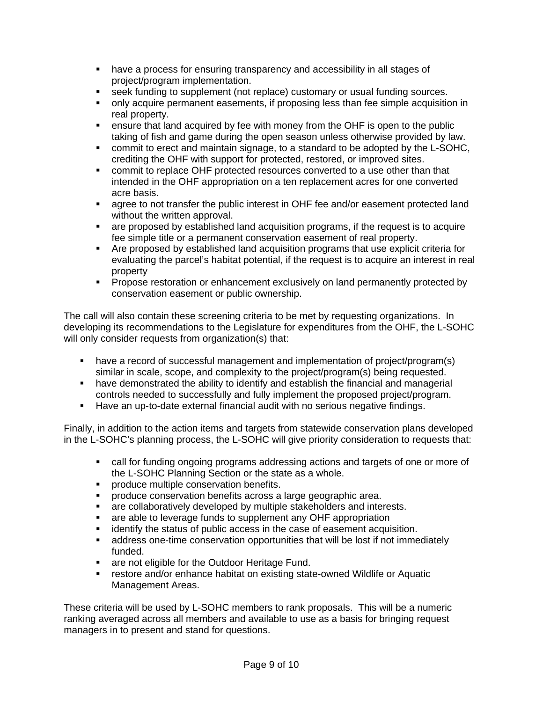- have a process for ensuring transparency and accessibility in all stages of project/program implementation.
- seek funding to supplement (not replace) customary or usual funding sources.
- only acquire permanent easements, if proposing less than fee simple acquisition in real property.
- ensure that land acquired by fee with money from the OHF is open to the public taking of fish and game during the open season unless otherwise provided by law.
- commit to erect and maintain signage, to a standard to be adopted by the L-SOHC, crediting the OHF with support for protected, restored, or improved sites.
- commit to replace OHF protected resources converted to a use other than that intended in the OHF appropriation on a ten replacement acres for one converted acre basis.
- **EXED agree to not transfer the public interest in OHF fee and/or easement protected land** without the written approval.
- are proposed by established land acquisition programs, if the request is to acquire fee simple title or a permanent conservation easement of real property.
- Are proposed by established land acquisition programs that use explicit criteria for evaluating the parcel's habitat potential, if the request is to acquire an interest in real property
- **Propose restoration or enhancement exclusively on land permanently protected by** conservation easement or public ownership.

The call will also contain these screening criteria to be met by requesting organizations. In developing its recommendations to the Legislature for expenditures from the OHF, the L-SOHC will only consider requests from organization(s) that:

- have a record of successful management and implementation of project/program(s) similar in scale, scope, and complexity to the project/program(s) being requested.
- have demonstrated the ability to identify and establish the financial and managerial controls needed to successfully and fully implement the proposed project/program.
- **Have an up-to-date external financial audit with no serious negative findings.**

Finally, in addition to the action items and targets from statewide conservation plans developed in the L-SOHC's planning process, the L-SOHC will give priority consideration to requests that:

- call for funding ongoing programs addressing actions and targets of one or more of the L-SOHC Planning Section or the state as a whole.
- **PEDECITE:** produce multiple conservation benefits.
- **PEDRITE:** produce conservation benefits across a large geographic area.
- **EXEDED FIGHTS 2018** are collaboratively developed by multiple stakeholders and interests.
- **EXT** are able to leverage funds to supplement any OHF appropriation
- **EXEDENT** identify the status of public access in the case of easement acquisition.
- address one-time conservation opportunities that will be lost if not immediately funded.
- **are not eligible for the Outdoor Heritage Fund.**
- **F** restore and/or enhance habitat on existing state-owned Wildlife or Aquatic Management Areas.

These criteria will be used by L-SOHC members to rank proposals. This will be a numeric ranking averaged across all members and available to use as a basis for bringing request managers in to present and stand for questions.